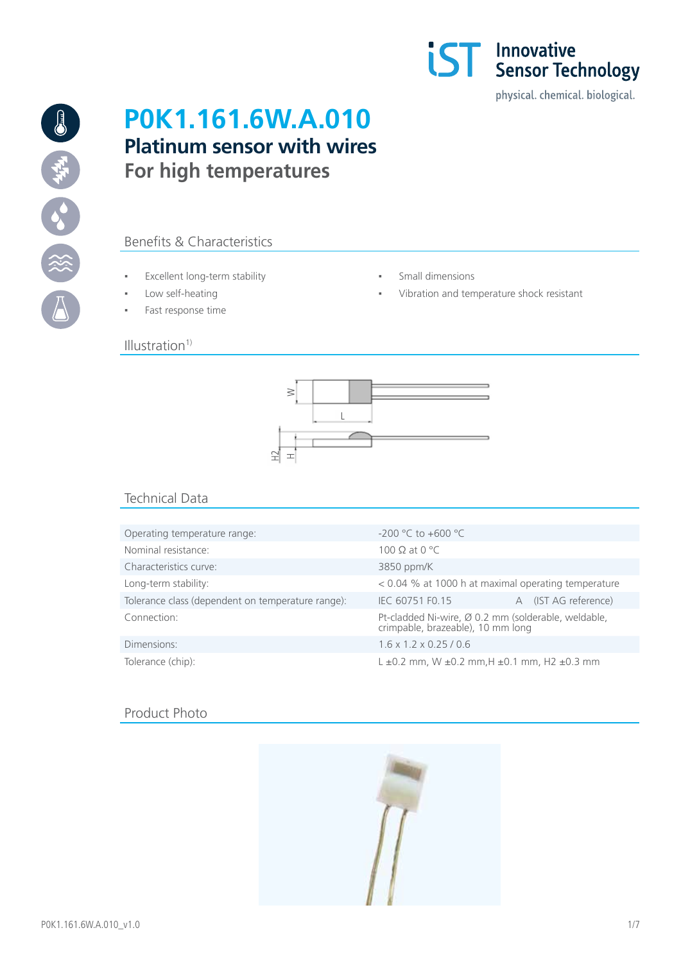



# **P0K1.161.6W.A.010 Platinum sensor with wires For high temperatures**

# Benefits & Characteristics

- Excellent long-term stability Small dimensions
- 
- Fast response time

# $Illustration<sup>1</sup>$

- 
- Low self-heating  $\qquad \qquad \bullet$  Yibration and temperature shock resistant



# Technical Data

| Operating temperature range:                      | $-200$ °C to $+600$ °C                                                                   |                      |  |  |
|---------------------------------------------------|------------------------------------------------------------------------------------------|----------------------|--|--|
| Nominal resistance:                               | 100 $\Omega$ at 0 °C                                                                     |                      |  |  |
| Characteristics curve:                            | 3850 ppm/K                                                                               |                      |  |  |
| Long-term stability:                              | < 0.04 % at 1000 h at maximal operating temperature                                      |                      |  |  |
| Tolerance class (dependent on temperature range): | IEC 60751 F0.15                                                                          | A (IST AG reference) |  |  |
| Connection:                                       | Pt-cladded Ni-wire, Ø 0.2 mm (solderable, weldable,<br>crimpable, brazeable), 10 mm long |                      |  |  |
| Dimensions:                                       | $1.6 \times 1.2 \times 0.25 / 0.6$                                                       |                      |  |  |
| Tolerance (chip):                                 | $L \pm 0.2$ mm, W $\pm 0.2$ mm, H $\pm 0.1$ mm, H2 $\pm 0.3$ mm                          |                      |  |  |

# Product Photo

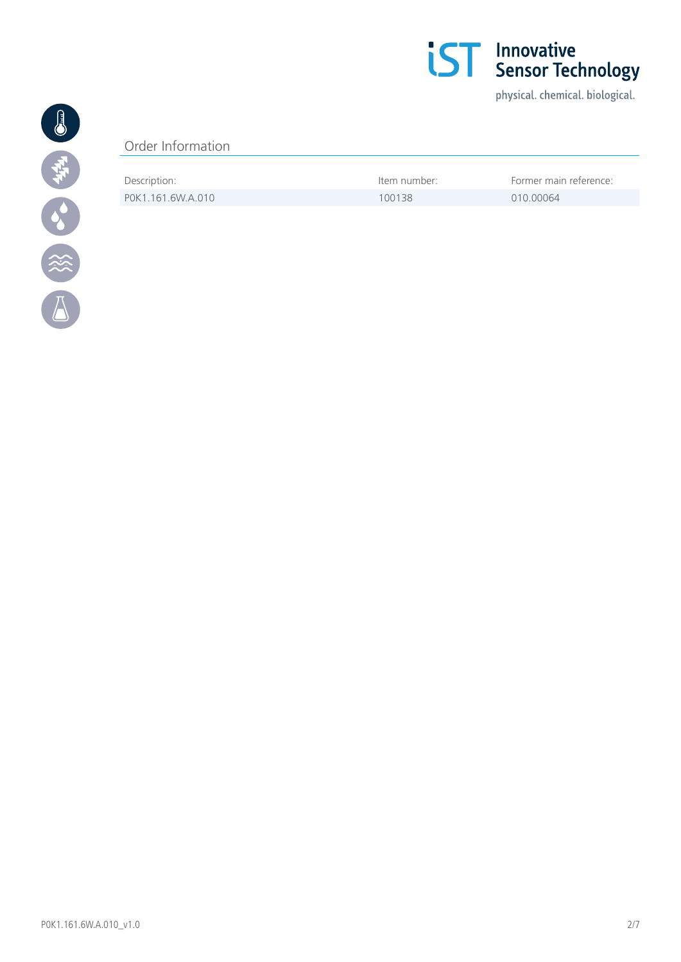

physical. chemical. biological.



# Order Information

| Description:      | ltem number: | Former main reference: |
|-------------------|--------------|------------------------|
| POK1.161.6W.A.010 | 100138       | 010 00064              |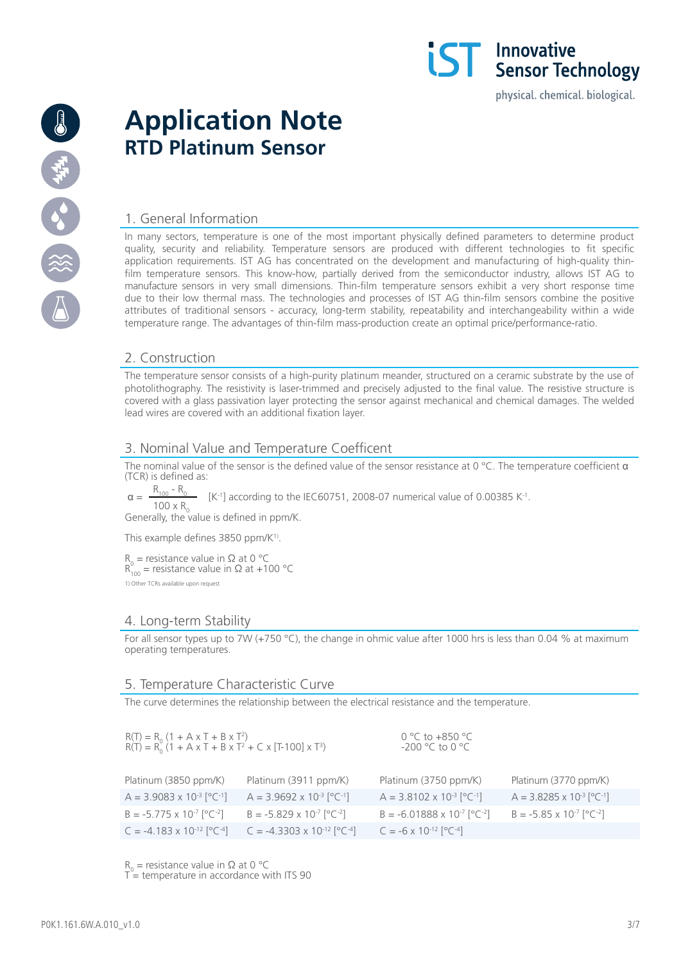

# **Application Note RTD Platinum Sensor**

# 1. General Information

In many sectors, temperature is one of the most important physically defined parameters to determine product quality, security and reliability. Temperature sensors are produced with different technologies to fit specific application requirements. IST AG has concentrated on the development and manufacturing of high-quality thinfilm temperature sensors. This know-how, partially derived from the semiconductor industry, allows IST AG to manufacture sensors in very small dimensions. Thin-film temperature sensors exhibit a very short response time due to their low thermal mass. The technologies and processes of IST AG thin-film sensors combine the positive attributes of traditional sensors - accuracy, long-term stability, repeatability and interchangeability within a wide temperature range. The advantages of thin-film mass-production create an optimal price/performance-ratio.

**IST** Innovative<br>**IST** Sensor Technology

physical. chemical. biological.

## 2. Construction

The temperature sensor consists of a high-purity platinum meander, structured on a ceramic substrate by the use of photolithography. The resistivity is laser-trimmed and precisely adjusted to the final value. The resistive structure is covered with a glass passivation layer protecting the sensor against mechanical and chemical damages. The welded lead wires are covered with an additional fixation layer.

## 3. Nominal Value and Temperature Coefficent

The nominal value of the sensor is the defined value of the sensor resistance at 0 °C. The temperature coefficient  $\alpha$ (TCR) is defined as:

 $\alpha = \frac{R_{100} - R_0}{R_{100} - R_0}$  [K<sup>-1</sup>] according to the IEC60751, 2008-07 numerical value of 0.00385 K<sup>-1</sup>.  $100 \times R_{0}$ 

Generally, the value is defined in ppm/K.

This example defines 3850 ppm/K<sup>1)</sup>.

 $R_0$  = resistance value in Ω at 0 °C  $R_{100}^{0}$  = resistance value in  $\Omega$  at +100 °C 1) Other TCRs available upon request

## 4. Long-term Stability

For all sensor types up to 7W (+750 °C), the change in ohmic value after 1000 hrs is less than 0.04 % at maximum operating temperatures.

## 5. Temperature Characteristic Curve

The curve determines the relationship between the electrical resistance and the temperature.

| $R(T) = R_0 (1 + A \times T + B \times T^2)$<br>$R(T) = R_0 (1 + A \times T + B \times T^2 + C \times [T \cdot 100] \times T^3)$ |                                                 | 0 °C to +850 °C<br>$-200$ °C to 0 °C              |                                                 |
|----------------------------------------------------------------------------------------------------------------------------------|-------------------------------------------------|---------------------------------------------------|-------------------------------------------------|
| Platinum (3850 ppm/K)                                                                                                            | Platinum (3911 ppm/K)                           | Platinum (3750 ppm/K)                             | Platinum (3770 ppm/K)                           |
| $A = 3.9083 \times 10^{-3} [^{\circ}C^{-1}]$                                                                                     | $A = 3.9692 \times 10^{-3}$ [°C <sup>-1</sup> ] | $A = 3.8102 \times 10^{-3}$ [°C <sup>-1</sup> ]   | $A = 3.8285 \times 10^{-3}$ [°C <sup>-1</sup> ] |
| $B = -5.775 \times 10^{-7} [^{\circ}C^{-2}]$                                                                                     | $B = -5.829 \times 10^{-7}$ [°C <sup>-2</sup> ] | $B = -6.01888 \times 10^{-7}$ [°C <sup>-2</sup> ] | $B = -5.85 \times 10^{-7}$ [°C <sup>-2</sup> ]  |
| $C = -4.183 \times 10^{-12} [^{\circ}C^{-4}]$                                                                                    | $C = -4.3303 \times 10^{-12} [^{\circ}C^{-4}]$  | $C = -6 \times 10^{-12} [^{\circ}C^{-4}]$         |                                                 |

 $R_0$  = resistance value in Ω at 0 °C

 $T$  = temperature in accordance with ITS 90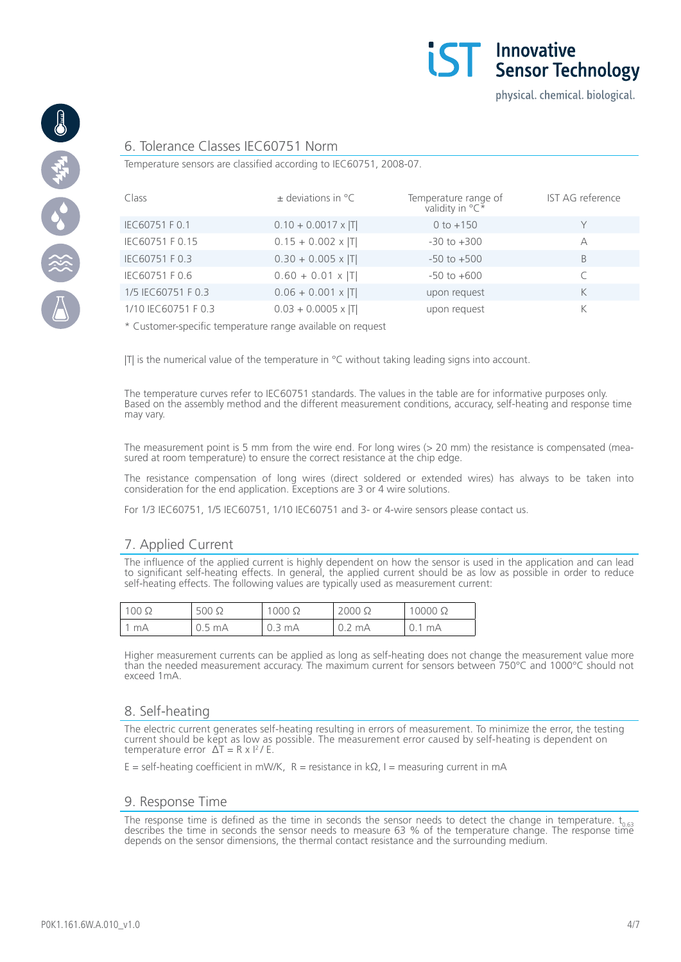



#### 6. Tolerance Classes IEC60751 Norm

Temperature sensors are classified according to IEC60751, 2008-07.

| Class               | $\pm$ deviations in $^{\circ}$ C | Temperature range of<br>validity in ${}^{\circ}C^*$ | IST AG reference |
|---------------------|----------------------------------|-----------------------------------------------------|------------------|
| IEC60751 F 0.1      | $0.10 + 0.0017 \times  T $       | $0 to +150$                                         |                  |
| IEC60751 F 0.15     | $0.15 + 0.002 \times  T $        | $-30$ to $+300$                                     | А                |
| IEC60751 F 0.3      | $0.30 + 0.005 \times  T $        | $-50$ to $+500$                                     | B                |
| IEC60751 F 0.6      | $0.60 + 0.01 \times  T $         | $-50$ to $+600$                                     |                  |
| 1/5 IEC60751 F 0.3  | $0.06 + 0.001 \times  T $        | upon request                                        | K                |
| 1/10 IEC60751 F 0.3 | $0.03 + 0.0005 \times  T $       | upon request                                        | K                |

\* Customer-specific temperature range available on request

ITI is the numerical value of the temperature in  $\degree$ C without taking leading signs into account.

The temperature curves refer to IEC60751 standards. The values in the table are for informative purposes only. Based on the assembly method and the different measurement conditions, accuracy, self-heating and response time may vary.

The measurement point is 5 mm from the wire end. For long wires (> 20 mm) the resistance is compensated (measured at room temperature) to ensure the correct resistance at the chip edge.

The resistance compensation of long wires (direct soldered or extended wires) has always to be taken into consideration for the end application. Exceptions are 3 or 4 wire solutions.

For 1/3 IEC60751, 1/5 IEC60751, 1/10 IEC60751 and 3- or 4-wire sensors please contact us.

## 7. Applied Current

The influence of the applied current is highly dependent on how the sensor is used in the application and can lead to significant self-heating effects. In general, the applied current should be as low as possible in order to reduce self-heating effects. The following values are typically used as measurement current:

| $100\ \Omega$ | $500 \Omega$           | $000 \Omega$ | $2000 \Omega$ | $10000 \Omega$ |
|---------------|------------------------|--------------|---------------|----------------|
| mA            | $.5 \text{ mA}$<br>U.J | 0.3 mA       | mA<br>◡.∠     | mA<br>◡. ।     |

Higher measurement currents can be applied as long as self-heating does not change the measurement value more than the needed measurement accuracy. The maximum current for sensors between 750°C and 1000°C should not exceed 1mA.

#### 8. Self-heating

The electric current generates self-heating resulting in errors of measurement. To minimize the error, the testing current should be kept as low as possible. The measurement error caused by self-heating is dependent on temperature error  $\Delta T = R \times I^2 / E$ 

 $E = self\text{-}heating coefficient in mW/K, R = resistance in kΩ, I = measuring current in mA$ 

#### 9. Response Time

The response time is defined as the time in seconds the sensor needs to detect the change in temperature.  $t_{0.63}$  describes the time in seconds the sensor needs to measure 63 % of the temperature change. The response ti depends on the sensor dimensions, the thermal contact resistance and the surrounding medium.

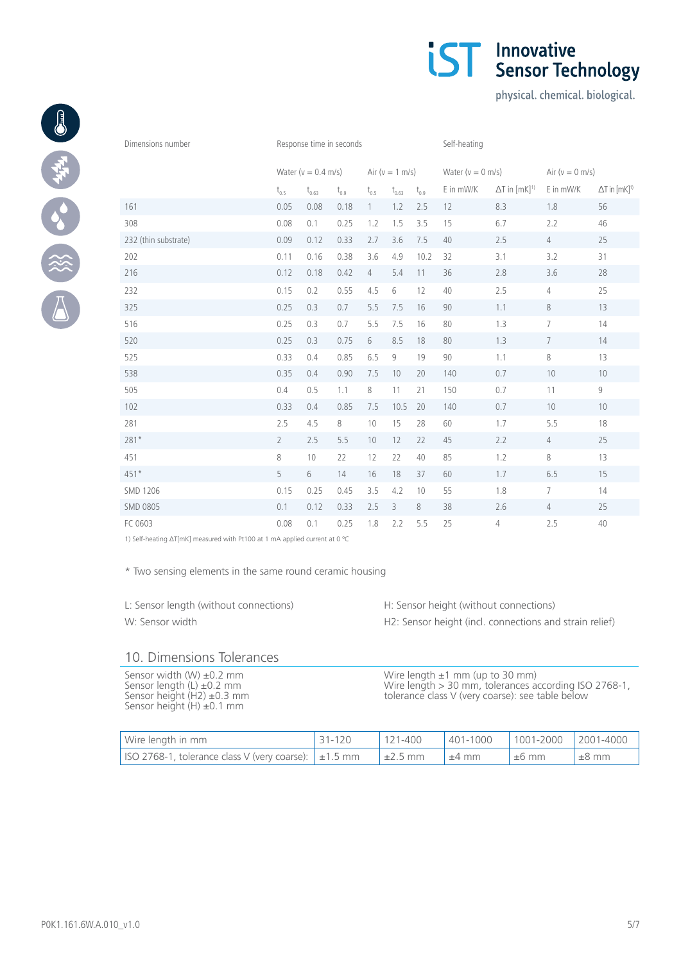| Dimensions number    | Response time in seconds |            |                    |                | Self-heating         |                  |                    |                                    |                 |                                    |
|----------------------|--------------------------|------------|--------------------|----------------|----------------------|------------------|--------------------|------------------------------------|-----------------|------------------------------------|
|                      | Water ( $v = 0.4$ m/s)   |            | Air ( $v = 1$ m/s) |                | Water ( $v = 0$ m/s) |                  | Air ( $v = 0$ m/s) |                                    |                 |                                    |
|                      | $\rm t_{0.5}$            | $t_{0.63}$ | $t_{0.9}$          | $t_{0.5}$      | $\rm t_{_{0.63}}$    | $\rm t_{_{0.9}}$ | E in mW/K          | $\Delta T$ in $[mK]$ <sup>1)</sup> | E in mW/K       | $\Delta T$ in $[mK]$ <sup>1)</sup> |
| 161                  | 0.05                     | 0.08       | 0.18               | $\mathbf{1}$   | 1.2                  | 2.5              | 12                 | 8.3                                | 1.8             | 56                                 |
| 308                  | 0.08                     | 0.1        | 0.25               | 1.2            | 1.5                  | 3.5              | 15                 | 6.7                                | 2.2             | 46                                 |
| 232 (thin substrate) | 0.09                     | 0.12       | 0.33               | 2.7            | 3.6                  | 7.5              | 40                 | 2.5                                | $\overline{4}$  | 25                                 |
| 202                  | 0.11                     | 0.16       | 0.38               | 3.6            | 4.9                  | 10.2             | 32                 | 3.1                                | 3.2             | 31                                 |
| 216                  | 0.12                     | 0.18       | 0.42               | $\overline{4}$ | 5.4                  | 11               | 36                 | 2.8                                | 3.6             | 28                                 |
| 232                  | 0.15                     | 0.2        | 0.55               | 4.5            | 6                    | 12               | 40                 | 2.5                                | $\overline{4}$  | 25                                 |
| 325                  | 0.25                     | 0.3        | 0.7                | 5.5            | 7.5                  | 16               | 90                 | 1.1                                | $8\,$           | 13                                 |
| 516                  | 0.25                     | 0.3        | 0.7                | 5.5            | 7.5                  | 16               | 80                 | 1.3                                | $\overline{7}$  | 14                                 |
| 520                  | 0.25                     | 0.3        | 0.75               | 6              | 8.5                  | 18               | 80                 | 1.3                                | $7\overline{ }$ | 14                                 |
| 525                  | 0.33                     | 0.4        | 0.85               | 6.5            | 9                    | 19               | 90                 | 1.1                                | 8               | 13                                 |
| 538                  | 0.35                     | 0.4        | 0.90               | 7.5            | 10                   | 20               | 140                | 0.7                                | 10              | 10                                 |
| 505                  | 0.4                      | 0.5        | 1.1                | 8              | 11                   | 21               | 150                | 0.7                                | 11              | 9                                  |
| 102                  | 0.33                     | 0.4        | 0.85               | 7.5            | 10.5                 | 20               | 140                | 0.7                                | 10              | 10                                 |
| 281                  | 2.5                      | 4.5        | $\,8\,$            | 10             | 15                   | 28               | 60                 | 1.7                                | 5.5             | 18                                 |
| 281*                 | $\overline{2}$           | 2.5        | 5.5                | 10             | 12                   | 22               | 45                 | 2.2                                | $\overline{4}$  | 25                                 |
| 451                  | 8                        | 10         | 22                 | 12             | 22                   | 40               | 85                 | 1.2                                | $\,8\,$         | 13                                 |
| $451*$               | 5                        | 6          | 14                 | 16             | 18                   | 37               | 60                 | 1.7                                | 6.5             | 15                                 |
| SMD 1206             | 0.15                     | 0.25       | 0.45               | 3.5            | 4.2                  | 10               | 55                 | 1.8                                | $7\overline{ }$ | 14                                 |
| <b>SMD 0805</b>      | 0.1                      | 0.12       | 0.33               | 2.5            | 3                    | 8                | 38                 | 2.6                                | $\overline{4}$  | 25                                 |
| FC 0603              | 0.08                     | 0.1        | 0.25               | 1.8            | 2.2                  | 5.5              | 25                 | 4                                  | 2.5             | 40                                 |

1) Self-heating ∆T[mK] measured with Pt100 at 1 mA applied current at 0 ºC

\* Two sensing elements in the same round ceramic housing

L: Sensor length (without connections) H: Sensor height (without connections) W: Sensor width **H2: Sensor height (incl. connections and strain relief)** 

# 10. Dimensions Tolerances

Sensor width (W) ±0.2 mm Sensor length (L) ±0.2 mm Sensor height (H2) ±0.3 mm Sensor height (H) ±0.1 mm

Wire length ±1 mm (up to 30 mm) Wire length > 30 mm, tolerances according ISO 2768-1, tolerance class V (very coarse): see table below

| Wire length in mm                                                       | $31 - 120$ | $121-400$    |            |         | 401-1000  1001-2000  2001-4000 |
|-------------------------------------------------------------------------|------------|--------------|------------|---------|--------------------------------|
| $\vert$ ISO 2768-1, tolerance class V (very coarse): $\vert \pm 1.5$ mm |            | $\pm 2.5$ mm | $\pm 4$ mm | $±6$ mm | $±8$ mm                        |



physical. chemical. biological.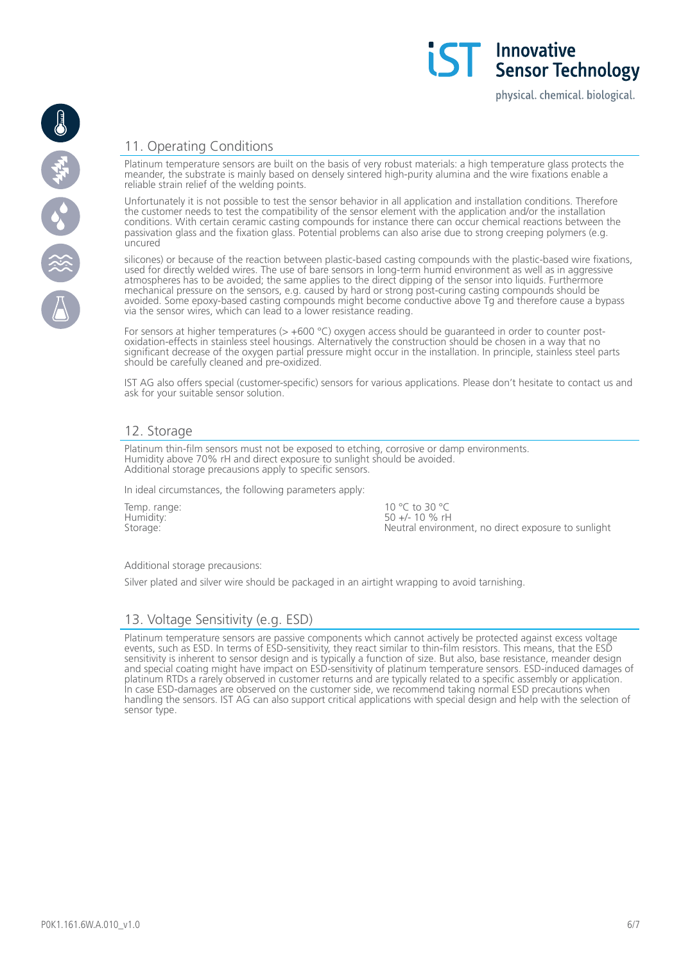physical. chemical. biological.

# 11. Operating Conditions

Platinum temperature sensors are built on the basis of very robust materials: a high temperature glass protects the meander, the substrate is mainly based on densely sintered high-purity alumina and the wire fixations enable a reliable strain relief of the welding points.

Unfortunately it is not possible to test the sensor behavior in all application and installation conditions. Therefore the customer needs to test the compatibility of the sensor element with the application and/or the installation conditions. With certain ceramic casting compounds for instance there can occur chemical reactions between the passivation glass and the fixation glass. Potential problems can also arise due to strong creeping polymers (e.g. uncured

silicones) or because of the reaction between plastic-based casting compounds with the plastic-based wire fixations, used for directly welded wires. The use of bare sensors in long-term humid environment as well as in aggressive atmospheres has to be avoided; the same applies to the direct dipping of the sensor into liquids. Furthermore mechanical pressure on the sensors, e.g. caused by hard or strong post-curing casting compounds should be avoided. Some epoxy-based casting compounds might become conductive above Tg and therefore cause a bypass via the sensor wires, which can lead to a lower resistance reading.

For sensors at higher temperatures ( $> +600$  °C) oxygen access should be guaranteed in order to counter postoxidation-effects in stainless steel housings. Alternatively the construction should be chosen in a way that no significant decrease of the oxygen partial pressure might occur in the installation. In principle, stainless steel parts should be carefully cleaned and pre-oxidized.

IST AG also offers special (customer-specific) sensors for various applications. Please don't hesitate to contact us and ask for your suitable sensor solution.

# 12. Storage

Platinum thin-film sensors must not be exposed to etching, corrosive or damp environments. Humidity above 70% rH and direct exposure to sunlight should be avoided. Additional storage precausions apply to specific sensors.

In ideal circumstances, the following parameters apply:

Temp. range: Humidity: Storage:

10 °C to 30 °C  $50 +/- 10 \%$  rH Neutral environment, no direct exposure to sunlight

#### Additional storage precausions:

Silver plated and silver wire should be packaged in an airtight wrapping to avoid tarnishing.

# 13. Voltage Sensitivity (e.g. ESD)

Platinum temperature sensors are passive components which cannot actively be protected against excess voltage events, such as ESD. In terms of ESD-sensitivity, they react similar to thin-film resistors. This means, that the ESD sensitivity is inherent to sensor design and is typically a function of size. But also, base resistance, meander design and special coating might have impact on ESD-sensitivity of platinum temperature sensors. ESD-induced damages of platinum RTDs a rarely observed in customer returns and are typically related to a specific assembly or application. In case ESD-damages are observed on the customer side, we recommend taking normal ESD precautions when handling the sensors. IST AG can also support critical applications with special design and help with the selection of sensor type.